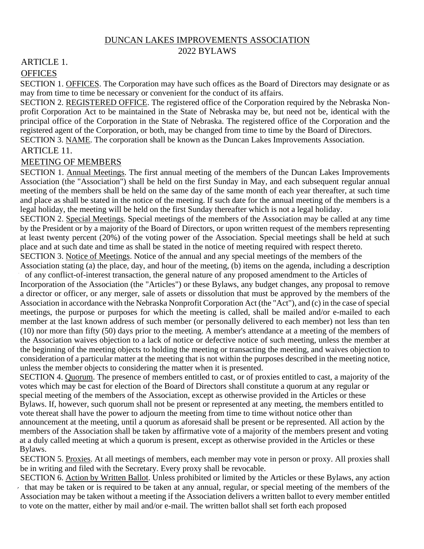#### DUNCAN LAKES IMPROVEMENTS ASSOCIATION

#### 2022 BYLAWS

## ARTICLE 1.

#### **OFFICES**

SECTION 1. OFFICES. The Corporation may have such offices as the Board of Directors may designate or as may from time to time be necessary or convenient for the conduct of its affairs.

SECTION 2. REGISTERED OFFICE. The registered office of the Corporation required by the Nebraska Nonprofit Corporation Act to be maintained in the State of Nebraska may be, but need not be, identical with the principal office of the Corporation in the State of Nebraska. The registered office of the Corporation and the registered agent of the Corporation, or both, may be changed from time to time by the Board of Directors. SECTION 3. NAME. The corporation shall be known as the Duncan Lakes Improvements Association.

# ARTICLE 11.

### MEETING OF MEMBERS

SECTION 1. Annual Meetings. The first annual meeting of the members of the Duncan Lakes Improvements Association (the "Association") shall be held on the first Sunday in May, and each subsequent regular annual meeting of the members shall be held on the same day of the same month of each year thereafter, at such time and place as shall be stated in the notice of the meeting. If such date for the annual meeting of the members is a legal holiday, the meeting will be held on the first Sunday thereafter which is not a legal holiday.

SECTION 2. Special Meetings. Special meetings of the members of the Association may be called at any time by the President or by a majority of the Board of Directors, or upon written request of the members representing at least twenty percent (20%) of the voting power of the Association. Special meetings shall be held at such place and at such date and time as shall be stated in the notice of meeting required with respect thereto. SECTION 3. Notice of Meetings. Notice of the annual and any special meetings of the members of the

Association stating (a) the place, day, and hour of the meeting, (b) items on the agenda, including a description of any conflict-of-interest transaction, the general nature of any proposed amendment to the Articles of

Incorporation of the Association (the "Articles") or these Bylaws, any budget changes, any proposal to remove a director or officer, or any merger, sale of assets or dissolution that must be approved by the members of the Association in accordance with the Nebraska Nonprofit Corporation Act (the "Act"), and (c) in the case of special meetings, the purpose or purposes for which the meeting is called, shall be mailed and/or e-mailed to each member at the last known address of such member (or personally delivered to each member) not less than ten (10) nor more than fifty (50) days prior to the meeting. A member's attendance at a meeting of the members of the Association waives objection to a lack of notice or defective notice of such meeting, unless the member at the beginning of the meeting objects to holding the meeting or transacting the meeting, and waives objection to consideration of a particular matter at the meeting that is not within the purposes described in the meeting notice, unless the member objects to considering the matter when it is presented.

SECTION 4. Quorum. The presence of members entitled to cast, or of proxies entitled to cast, a majority of the votes which may be cast for election of the Board of Directors shall constitute a quorum at any regular or special meeting of the members of the Association, except as otherwise provided in the Articles or these Bylaws. If, however, such quorum shall not be present or represented at any meeting, the members entitled to vote thereat shall have the power to adjourn the meeting from time to time without notice other than announcement at the meeting, until a quorum as aforesaid shall be present or be represented. All action by the members of the Association shall be taken by affirmative vote of a majority of the members present and voting at a duly called meeting at which a quorum is present, except as otherwise provided in the Articles or these Bylaws.

SECTION 5. Proxies. At all meetings of members, each member may vote in person or proxy. All proxies shall be in writing and filed with the Secretary. Every proxy shall be revocable.

SECTION 6. Action by Written Ballot. Unless prohibited or limited by the Articles or these Bylaws, any action that may be taken or is required to be taken at any annual, regular, or special meeting of the members of the Association may be taken without a meeting if the Association delivers a written ballot to every member entitled to vote on the matter, either by mail and/or e-mail. The written ballot shall set forth each proposed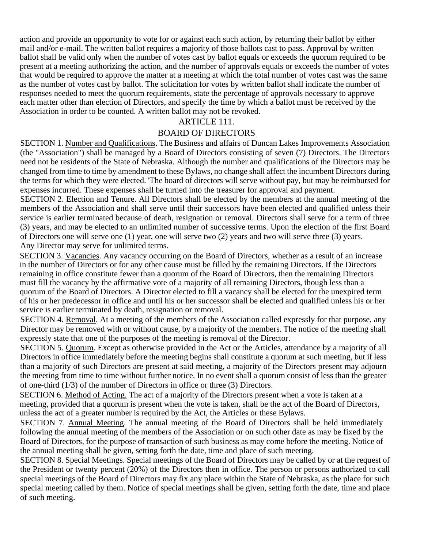action and provide an opportunity to vote for or against each such action, by returning their ballot by either mail and/or e-mail. The written ballot requires a majority of those ballots cast to pass. Approval by written ballot shall be valid only when the number of votes cast by ballot equals or exceeds the quorum required to be present at a meeting authorizing the action, and the number of approvals equals or exceeds the number of votes that would be required to approve the matter at a meeting at which the total number of votes cast was the same as the number of votes cast by ballot. The solicitation for votes by written ballot shall indicate the number of responses needed to meet the quorum requirements, state the percentage of approvals necessary to approve each matter other than election of Directors, and specify the time by which a ballot must be received by the Association in order to be counted. A written ballot may not be revoked.

## ARTICLE 111.

# BOARD OF DIRECTORS

SECTION 1. Number and Qualifications. The Business and affairs of Duncan Lakes Improvements Association (the "Association") shall be managed by a Board of Directors consisting of seven (7) Directors. The Directors need not be residents of the State of Nebraska. Although the number and qualifications of the Directors may be changed from time to time by amendment to these Bylaws, no change shall affect the incumbent Directors during the terms for which they were elected. 'The board of directors will serve without pay, but may be reimbursed for expenses incurred. These expenses shall be turned into the treasurer for approval and payment.

SECTION 2. Election and Tenure. All Directors shall be elected by the members at the annual meeting of the members of the Association and shall serve until their successors have been elected and qualified unless their service is earlier terminated because of death, resignation or removal. Directors shall serve for a term of three (3) years, and may be elected to an unlimited number of successive terms. Upon the election of the first Board of Directors one will serve one (1) year, one will serve two (2) years and two will serve three (3) years. Any Director may serve for unlimited terms.

SECTION 3. Vacancies. Any vacancy occurring on the Board of Directors, whether as a result of an increase in the number of Directors or for any other cause must be filled by the remaining Directors. If the Directors remaining in office constitute fewer than a quorum of the Board of Directors, then the remaining Directors must fill the vacancy by the affirmative vote of a majority of all remaining Directors, though less than a quorum of the Board of Directors. A Director elected to fill a vacancy shall be elected for the unexpired term of his or her predecessor in office and until his or her successor shall be elected and qualified unless his or her service is earlier terminated by death, resignation or removal.

SECTION 4. Removal. At a meeting of the members of the Association called expressly for that purpose, any Director may be removed with or without cause, by a majority of the members. The notice of the meeting shall expressly state that one of the purposes of the meeting is removal of the Director.

SECTION 5. Quorum. Except as otherwise provided in the Act or the Articles, attendance by a majority of all Directors in office immediately before the meeting begins shall constitute a quorum at such meeting, but if less than a majority of such Directors are present at said meeting, a majority of the Directors present may adjourn the meeting from time to time without further notice. In no event shall a quorum consist of less than the greater of one-third (1/3) of the number of Directors in office or three (3) Directors.

SECTION 6. Method of Acting. The act of a majority of the Directors present when a vote is taken at a meeting, provided that a quorum is present when the vote is taken, shall be the act of the Board of Directors, unless the act of a greater number is required by the Act, the Articles or these Bylaws.

SECTION 7. Annual Meeting. The annual meeting of the Board of Directors shall be held immediately following the annual meeting of the members of the Association or on such other date as may be fixed by the Board of Directors, for the purpose of transaction of such business as may come before the meeting. Notice of the annual meeting shall be given, setting forth the date, time and place of such meeting.

SECTION 8. Special Meetings. Special meetings of the Board of Directors may be called by or at the request of the President or twenty percent (20%) of the Directors then in office. The person or persons authorized to call special meetings of the Board of Directors may fix any place within the State of Nebraska, as the place for such special meeting called by them. Notice of special meetings shall be given, setting forth the date, time and place of such meeting.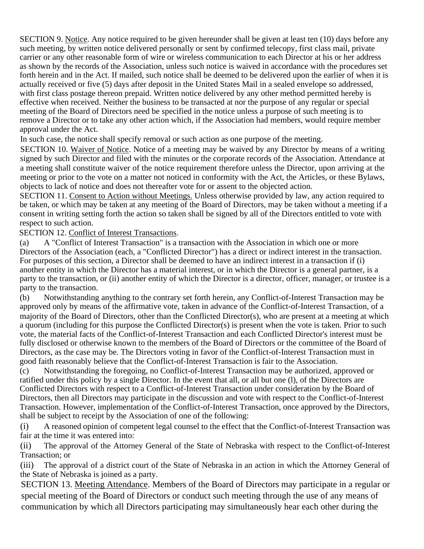SECTION 9. Notice. Any notice required to be given hereunder shall be given at least ten (10) days before any such meeting, by written notice delivered personally or sent by confirmed telecopy, first class mail, private carrier or any other reasonable form of wire or wireless communication to each Director at his or her address as shown by the records of the Association, unless such notice is waived in accordance with the procedures set forth herein and in the Act. If mailed, such notice shall be deemed to be delivered upon the earlier of when it is actually received or five (5) days after deposit in the United States Mail in a sealed envelope so addressed, with first class postage thereon prepaid. Written notice delivered by any other method permitted hereby is effective when received. Neither the business to be transacted at nor the purpose of any regular or special meeting of the Board of Directors need be specified in the notice unless a purpose of such meeting is to remove a Director or to take any other action which, if the Association had members, would require member approval under the Act.

In such case, the notice shall specify removal or such action as one purpose of the meeting.

SECTION 10. Waiver of Notice. Notice of a meeting may be waived by any Director by means of a writing signed by such Director and filed with the minutes or the corporate records of the Association. Attendance at a meeting shall constitute waiver of the notice requirement therefore unless the Director, upon arriving at the meeting or prior to the vote on a matter not noticed in conformity with the Act, the Articles, or these Bylaws, objects to lack of notice and does not thereafter vote for or assent to the objected action.

SECTION 11. Consent to Action without Meetings. Unless otherwise provided by law, any action required to be taken, or which may be taken at any meeting of the Board of Directors, may be taken without a meeting if a consent in writing setting forth the action so taken shall be signed by all of the Directors entitled to vote with respect to such action.

#### SECTION 12. Conflict of Interest Transactions.

(a) A "Conflict of Interest Transaction" is a transaction with the Association in which one or more Directors of the Association (each, a "Conflicted Director") has a direct or indirect interest in the transaction. For purposes of this section, a Director shall be deemed to have an indirect interest in a transaction if (i) another entity in which the Director has a material interest, or in which the Director is a general partner, is a party to the transaction, or (ii) another entity of which the Director is a director, officer, manager, or trustee is a party to the transaction.

(b) Notwithstanding anything to the contrary set forth herein, any Conflict-of-Interest Transaction may be approved only by means of the affirmative vote, taken in advance of the Conflict-of-Interest Transaction, of a majority of the Board of Directors, other than the Conflicted Director(s), who are present at a meeting at which a quorum (including for this purpose the Conflicted Director(s) is present when the vote is taken. Prior to such vote, the material facts of the Conflict-of-Interest Transaction and each Conflicted Director's interest must be fully disclosed or otherwise known to the members of the Board of Directors or the committee of the Board of Directors, as the case may be. The Directors voting in favor of the Conflict-of-Interest Transaction must in good faith reasonably believe that the Conflict-of-Interest Transaction is fair to the Association.

(c) Notwithstanding the foregoing, no Conflict-of-Interest Transaction may be authorized, approved or ratified under this policy by a single Director. In the event that all, or all but one (l), of the Directors are Conflicted Directors with respect to a Conflict-of-Interest Transaction under consideration by the Board of Directors, then all Directors may participate in the discussion and vote with respect to the Conflict-of-Interest Transaction. However, implementation of the Conflict-of-Interest Transaction, once approved by the Directors, shall be subject to receipt by the Association of one of the following:

(i) A reasoned opinion of competent legal counsel to the effect that the Conflict-of-Interest Transaction was fair at the time it was entered into:

(ii) The approval of the Attorney General of the State of Nebraska with respect to the Conflict-of-Interest Transaction; or

(iii) The approval of a district court of the State of Nebraska in an action in which the Attorney General of the State of Nebraska is joined as a party.

SECTION 13. Meeting Attendance. Members of the Board of Directors may participate in a regular or special meeting of the Board of Directors or conduct such meeting through the use of any means of communication by which all Directors participating may simultaneously hear each other during the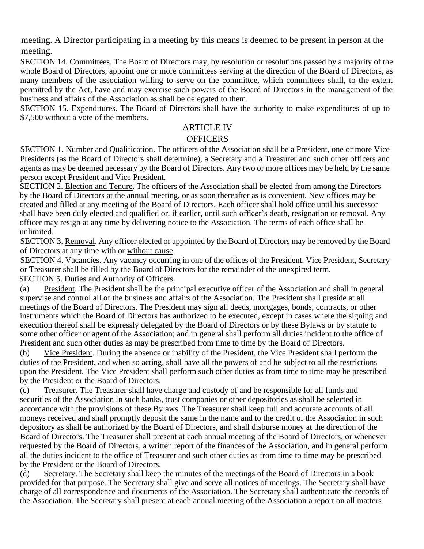meeting. A Director participating in a meeting by this means is deemed to be present in person at the meeting.

SECTION 14. Committees. The Board of Directors may, by resolution or resolutions passed by a majority of the whole Board of Directors, appoint one or more committees serving at the direction of the Board of Directors, as many members of the association willing to serve on the committee, which committees shall, to the extent permitted by the Act, have and may exercise such powers of the Board of Directors in the management of the business and affairs of the Association as shall be delegated to them.

SECTION 15. Expenditures. The Board of Directors shall have the authority to make expenditures of up to \$7,500 without a vote of the members.

### ARTICLE IV

#### **OFFICERS**

SECTION 1. Number and Qualification. The officers of the Association shall be a President, one or more Vice Presidents (as the Board of Directors shall determine), a Secretary and a Treasurer and such other officers and agents as may be deemed necessary by the Board of Directors. Any two or more offices may be held by the same person except President and Vice President.

SECTION 2. Election and Tenure. The officers of the Association shall be elected from among the Directors by the Board of Directors at the annual meeting, or as soon thereafter as is convenient. New offices may be created and filled at any meeting of the Board of Directors. Each officer shall hold office until his successor shall have been duly elected and qualified or, if earlier, until such officer's death, resignation or removal. Any officer may resign at any time by delivering notice to the Association. The terms of each office shall be unlimited.

SECTION 3. Removal. Any officer elected or appointed by the Board of Directors may be removed by the Board of Directors at any time with or without cause.

SECTION 4. Vacancies. Any vacancy occurring in one of the offices of the President, Vice President, Secretary or Treasurer shall be filled by the Board of Directors for the remainder of the unexpired term. SECTION 5. Duties and Authority of Officers.

(a) President. The President shall be the principal executive officer of the Association and shall in general supervise and control all of the business and affairs of the Association. The President shall preside at all meetings of the Board of Directors. The President may sign all deeds, mortgages, bonds, contracts, or other instruments which the Board of Directors has authorized to be executed, except in cases where the signing and execution thereof shall be expressly delegated by the Board of Directors or by these Bylaws or by statute to some other officer or agent of the Association; and in general shall perform all duties incident to the office of President and such other duties as may be prescribed from time to time by the Board of Directors.

(b) Vice President. During the absence or inability of the President, the Vice President shall perform the duties of the President, and when so acting, shall have all the powers of and be subject to all the restrictions upon the President. The Vice President shall perform such other duties as from time to time may be prescribed by the President or the Board of Directors.

(c) Treasurer. The Treasurer shall have charge and custody of and be responsible for all funds and securities of the Association in such banks, trust companies or other depositories as shall be selected in accordance with the provisions of these Bylaws. The Treasurer shall keep full and accurate accounts of all moneys received and shall promptly deposit the same in the name and to the credit of the Association in such depository as shall be authorized by the Board of Directors, and shall disburse money at the direction of the Board of Directors. The Treasurer shall present at each annual meeting of the Board of Directors, or whenever requested by the Board of Directors, a written report of the finances of the Association, and in general perform all the duties incident to the office of Treasurer and such other duties as from time to time may be prescribed by the President or the Board of Directors.

(d) Secretary. The Secretary shall keep the minutes of the meetings of the Board of Directors in a book provided for that purpose. The Secretary shall give and serve all notices of meetings. The Secretary shall have charge of all correspondence and documents of the Association. The Secretary shall authenticate the records of the Association. The Secretary shall present at each annual meeting of the Association a report on all matters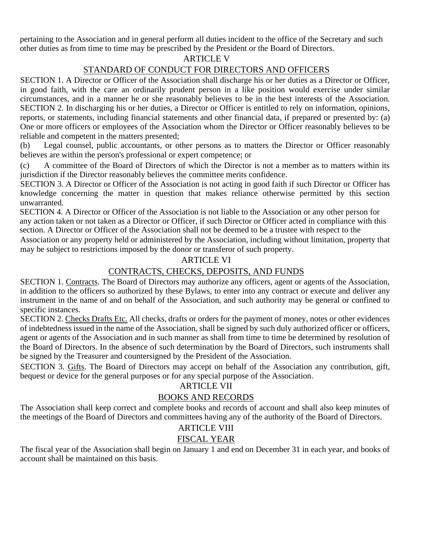pertaining to the Association and in general perform all duties incident to the office of the Secretary and such other duties as from time to time may be prescribed by the President or the Board of Directors.

## ARTICLE V

# STANDARD OF CONDUCT FOR DIRECTORS AND OFFICERS

SECTION 1. A Director or Officer of the Association shall discharge his or her duties as a Director or Officer, in good faith, with the care an ordinarily prudent person in a like position would exercise under similar circumstances, and in a manner he or she reasonably believes to be in the best interests of the Association. SECTION 2. In discharging his or her duties, a Director or Officer is entitled to rely on information, opinions, reports, or statements, including financial statements and other financial data, if prepared or presented by: (a) One or more officers or employees of the Association whom the Director or Officer reasonably believes to be reliable and competent in the matters presented;

(b) Legal counsel, public accountants, or other persons as to matters the Director or Officer reasonably believes are within the person's professional or expert competence; or

(c) A committee of the Board of Directors of which the Director is not a member as to matters within its jurisdiction if the Director reasonably believes the committee merits confidence.

SECTION 3. A Director or Officer of the Association is not acting in good faith if such Director or Officer has knowledge concerning the matter in question that makes reliance otherwise permitted by this section unwarranted.

SECTION 4. A Director or Officer of the Association is not liable to the Association or any other person for any action taken or not taken as a Director or Officer, if such Director or Officer acted in compliance with this section. A Director or Officer of the Association shall not be deemed to be a trustee with respect to the

Association or any property held or administered by the Association, including without limitation, property that may be subject to restrictions imposed by the donor or transferor of such property.

## ARTICLE VI

# CONTRACTS, CHECKS, DEPOSITS, AND FUNDS

SECTION 1. Contracts. The Board of Directors may authorize any officers, agent or agents of the Association, in addition to the officers so authorized by these Bylaws, to enter into any contract or execute and deliver any instrument in the name of and on behalf of the Association, and such authority may be general or confined to specific instances.

SECTION 2. Checks Drafts Etc. All checks, drafts or orders for the payment of money, notes or other evidences of indebtedness issued in the name of the Association, shall be signed by such duly authorized officer or officers, agent or agents of the Association and in such manner as shall from time to time be determined by resolution of the Board of Directors. In the absence of such determination by the Board of Directors, such instruments shall be signed by the Treasurer and countersigned by the President of the Association.

SECTION 3. Gifts. The Board of Directors may accept on behalf of the Association any contribution, gift, bequest or device for the general purposes or for any special purpose of the Association.

#### ARTICLE VII

## BOOKS AND RECORDS

The Association shall keep correct and complete books and records of account and shall also keep minutes of the meetings of the Board of Directors and committees having any of the authority of the Board of Directors.

# ARTICLE VIII

## FISCAL YEAR

The fiscal year of the Association shall begin on January 1 and end on December 31 in each year, and books of account shall be maintained on this basis.